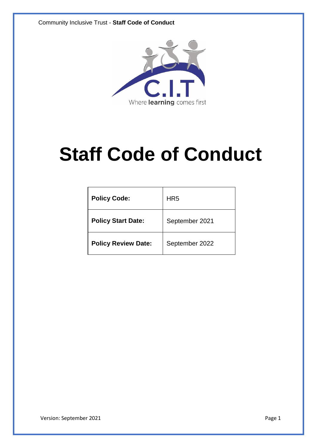

# **Staff Code of Conduct**

| <b>Policy Code:</b>        | HR <sub>5</sub> |
|----------------------------|-----------------|
| <b>Policy Start Date:</b>  | September 2021  |
| <b>Policy Review Date:</b> | September 2022  |

Version: September 2021 **Page 1**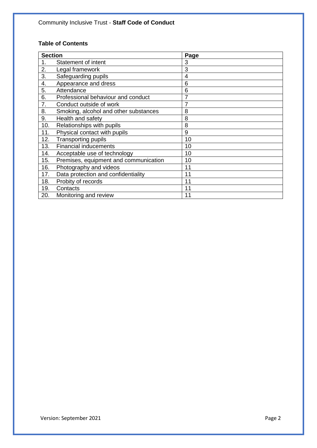# **Table of Contents**

| <b>Section</b> |                                       | Page |
|----------------|---------------------------------------|------|
| 1.             | Statement of intent                   | 3    |
| 2.             | Legal framework                       | 3    |
| 3.             | Safeguarding pupils                   | 4    |
| 4.             | Appearance and dress                  | 6    |
| 5.             | Attendance                            | 6    |
| 6.             | Professional behaviour and conduct    |      |
| 7.             | Conduct outside of work               | 7    |
| 8.             | Smoking, alcohol and other substances | 8    |
| 9.             | Health and safety                     | 8    |
| 10.            | Relationships with pupils             | 8    |
| 11.            | Physical contact with pupils          | 9    |
| 12.            | <b>Transporting pupils</b>            | 10   |
| 13.            | <b>Financial inducements</b>          | 10   |
| 14.            | Acceptable use of technology          | 10   |
| 15.            | Premises, equipment and communication | 10   |
| 16.            | Photography and videos                | 11   |
| 17.            | Data protection and confidentiality   | 11   |
| 18.            | Probity of records                    | 11   |
| 19.            | Contacts                              | 11   |
| 20.            | Monitoring and review                 | 11   |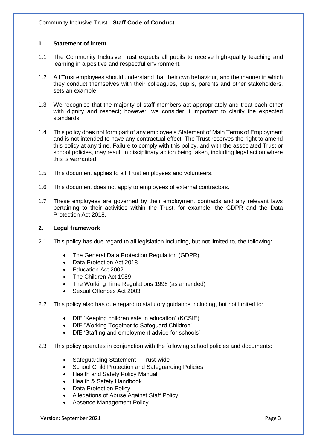# **1. Statement of intent**

- 1.1 The Community Inclusive Trust expects all pupils to receive high-quality teaching and learning in a positive and respectful environment.
- 1.2 All Trust employees should understand that their own behaviour, and the manner in which they conduct themselves with their colleagues, pupils, parents and other stakeholders, sets an example.
- 1.3 We recognise that the majority of staff members act appropriately and treat each other with dignity and respect; however, we consider it important to clarify the expected standards.
- 1.4 This policy does not form part of any employee's Statement of Main Terms of Employment and is not intended to have any contractual effect. The Trust reserves the right to amend this policy at any time. Failure to comply with this policy, and with the associated Trust or school policies, may result in disciplinary action being taken, including legal action where this is warranted.
- 1.5 This document applies to all Trust employees and volunteers.
- 1.6 This document does not apply to employees of external contractors.
- 1.7 These employees are governed by their employment contracts and any relevant laws pertaining to their activities within the Trust, for example, the GDPR and the Data Protection Act 2018.

# **2. Legal framework**

- 2.1 This policy has due regard to all legislation including, but not limited to, the following:
	- The General Data Protection Regulation (GDPR)
	- Data Protection Act 2018
	- Education Act 2002
	- The Children Act 1989
	- The Working Time Regulations 1998 (as amended)
	- Sexual Offences Act 2003
- 2.2 This policy also has due regard to statutory guidance including, but not limited to:
	- DfE 'Keeping children safe in education' (KCSIE)
	- DfE 'Working Together to Safeguard Children'
	- DfE 'Staffing and employment advice for schools'
- 2.3 This policy operates in conjunction with the following school policies and documents:
	- Safeguarding Statement Trust-wide
	- School Child Protection and Safeguarding Policies
	- Health and Safety Policy Manual
	- Health & Safety Handbook
	- Data Protection Policy
	- Allegations of Abuse Against Staff Policy
	- Absence Management Policy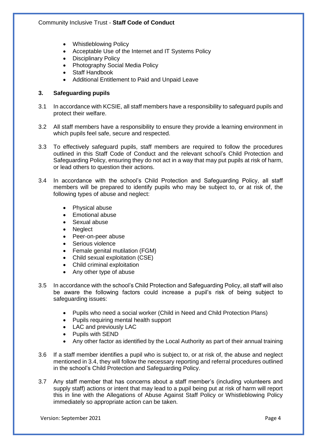- Whistleblowing Policy
- Acceptable Use of the Internet and IT Systems Policy
- Disciplinary Policy
- Photography Social Media Policy
- Staff Handbook
- Additional Entitlement to Paid and Unpaid Leave

# **3. Safeguarding pupils**

- 3.1 In accordance with KCSIE, all staff members have a responsibility to safeguard pupils and protect their welfare.
- 3.2 All staff members have a responsibility to ensure they provide a learning environment in which pupils feel safe, secure and respected.
- 3.3 To effectively safeguard pupils, staff members are required to follow the procedures outlined in this Staff Code of Conduct and the relevant school's Child Protection and Safeguarding Policy, ensuring they do not act in a way that may put pupils at risk of harm, or lead others to question their actions.
- 3.4 In accordance with the school's Child Protection and Safeguarding Policy, all staff members will be prepared to identify pupils who may be subject to, or at risk of, the following types of abuse and neglect:
	- Physical abuse
	- Emotional abuse
	- Sexual abuse
	- Neglect
	- Peer-on-peer abuse
	- Serious violence
	- Female genital mutilation (FGM)
	- Child sexual exploitation (CSE)
	- Child criminal exploitation
	- Any other type of abuse
- 3.5 In accordance with the school's Child Protection and Safeguarding Policy, all staff will also be aware the following factors could increase a pupil's risk of being subject to safeguarding issues:
	- Pupils who need a social worker (Child in Need and Child Protection Plans)
	- Pupils requiring mental health support
	- LAC and previously LAC
	- Pupils with SEND
	- Any other factor as identified by the Local Authority as part of their annual training
- 3.6 If a staff member identifies a pupil who is subject to, or at risk of, the abuse and neglect mentioned in 3.4, they will follow the necessary reporting and referral procedures outlined in the school's Child Protection and Safeguarding Policy.
- 3.7 Any staff member that has concerns about a staff member's (including volunteers and supply staff) actions or intent that may lead to a pupil being put at risk of harm will report this in line with the Allegations of Abuse Against Staff Policy or Whistleblowing Policy immediately so appropriate action can be taken.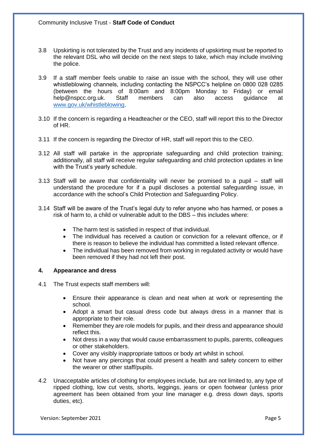- 3.8 Upskirting is not tolerated by the Trust and any incidents of upskirting must be reported to the relevant DSL who will decide on the next steps to take, which may include involving the police.
- 3.9 If a staff member feels unable to raise an issue with the school, they will use other whistleblowing channels, including contacting the NSPCC's helpline on 0800 028 0285 (between the hours of 8:00am and 8:00pm Monday to Friday) or email help@nspcc.org.uk. Staff members can also access guidance at [www.gov.uk/whistleblowing.](http://www.gov.uk/whistleblowing)
- 3.10 If the concern is regarding a Headteacher or the CEO, staff will report this to the Director of HR.
- 3.11 If the concern is regarding the Director of HR, staff will report this to the CEO.
- 3.12 All staff will partake in the appropriate safeguarding and child protection training; additionally, all staff will receive regular safeguarding and child protection updates in line with the Trust's yearly schedule.
- 3.13 Staff will be aware that confidentiality will never be promised to a pupil staff will understand the procedure for if a pupil discloses a potential safeguarding issue, in accordance with the school's Child Protection and Safeguarding Policy.
- 3.14 Staff will be aware of the Trust's legal duty to refer anyone who has harmed, or poses a risk of harm to, a child or vulnerable adult to the DBS – this includes where:
	- The harm test is satisfied in respect of that individual.
	- The individual has received a caution or conviction for a relevant offence, or if there is reason to believe the individual has committed a listed relevant offence.
	- The individual has been removed from working in regulated activity or would have been removed if they had not left their post.

## **4. Appearance and dress**

- 4.1 The Trust expects staff members will:
	- Ensure their appearance is clean and neat when at work or representing the school.
	- Adopt a smart but casual dress code but always dress in a manner that is appropriate to their role.
	- Remember they are role models for pupils, and their dress and appearance should reflect this.
	- Not dress in a way that would cause embarrassment to pupils, parents, colleagues or other stakeholders.
	- Cover any visibly inappropriate tattoos or body art whilst in school.
	- Not have any piercings that could present a health and safety concern to either the wearer or other staff/pupils.
- 4.2 Unacceptable articles of clothing for employees include, but are not limited to, any type of ripped clothing, low cut vests, shorts, leggings, jeans or open footwear (unless prior agreement has been obtained from your line manager e.g. dress down days, sports duties, etc).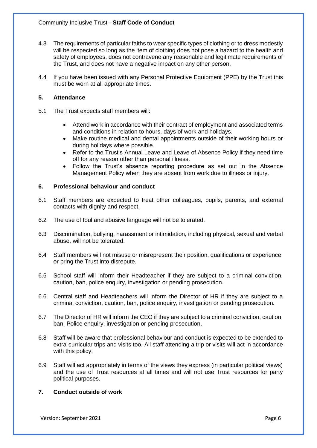- 4.3 The requirements of particular faiths to wear specific types of clothing or to dress modestly will be respected so long as the item of clothing does not pose a hazard to the health and safety of employees, does not contravene any reasonable and legitimate requirements of the Trust, and does not have a negative impact on any other person.
- 4.4 If you have been issued with any Personal Protective Equipment (PPE) by the Trust this must be worn at all appropriate times.

# **5. Attendance**

- 5.1 The Trust expects staff members will:
	- Attend work in accordance with their contract of employment and associated terms and conditions in relation to hours, days of work and holidays.
	- Make routine medical and dental appointments outside of their working hours or during holidays where possible.
	- Refer to the Trust's Annual Leave and Leave of Absence Policy if they need time off for any reason other than personal illness.
	- Follow the Trust's absence reporting procedure as set out in the Absence Management Policy when they are absent from work due to illness or injury.

# **6. Professional behaviour and conduct**

- 6.1 Staff members are expected to treat other colleagues, pupils, parents, and external contacts with dignity and respect.
- 6.2 The use of foul and abusive language will not be tolerated.
- 6.3 Discrimination, bullying, harassment or intimidation, including physical, sexual and verbal abuse, will not be tolerated.
- 6.4 Staff members will not misuse or misrepresent their position, qualifications or experience, or bring the Trust into disrepute.
- 6.5 School staff will inform their Headteacher if they are subject to a criminal conviction, caution, ban, police enquiry, investigation or pending prosecution.
- 6.6 Central staff and Headteachers will inform the Director of HR if they are subject to a criminal conviction, caution, ban, police enquiry, investigation or pending prosecution.
- 6.7 The Director of HR will inform the CEO if they are subject to a criminal conviction, caution, ban, Police enquiry, investigation or pending prosecution.
- 6.8 Staff will be aware that professional behaviour and conduct is expected to be extended to extra-curricular trips and visits too. All staff attending a trip or visits will act in accordance with this policy.
- 6.9 Staff will act appropriately in terms of the views they express (in particular political views) and the use of Trust resources at all times and will not use Trust resources for party political purposes.

## **7. Conduct outside of work**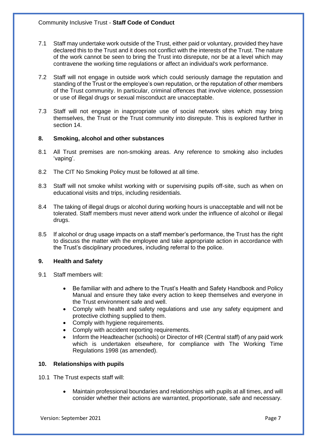- 7.1 Staff may undertake work outside of the Trust, either paid or voluntary, provided they have declared this to the Trust and it does not conflict with the interests of the Trust. The nature of the work cannot be seen to bring the Trust into disrepute, nor be at a level which may contravene the working time regulations or affect an individual's work performance.
- 7.2 Staff will not engage in outside work which could seriously damage the reputation and standing of the Trust or the employee's own reputation, or the reputation of other members of the Trust community. In particular, criminal offences that involve violence, possession or use of illegal drugs or sexual misconduct are unacceptable.
- 7.3 Staff will not engage in inappropriate use of social network sites which may bring themselves, the Trust or the Trust community into disrepute. This is explored further in section 14.

# **8. Smoking, alcohol and other substances**

- 8.1 All Trust premises are non-smoking areas. Any reference to smoking also includes 'vaping'.
- 8.2 The CIT No Smoking Policy must be followed at all time.
- 8.3 Staff will not smoke whilst working with or supervising pupils off-site, such as when on educational visits and trips, including residentials.
- 8.4 The taking of illegal drugs or alcohol during working hours is unacceptable and will not be tolerated. Staff members must never attend work under the influence of alcohol or illegal drugs.
- 8.5 If alcohol or drug usage impacts on a staff member's performance, the Trust has the right to discuss the matter with the employee and take appropriate action in accordance with the Trust's disciplinary procedures, including referral to the police.

# **9. Health and Safety**

- 9.1 Staff members will:
	- Be familiar with and adhere to the Trust's Health and Safety Handbook and Policy Manual and ensure they take every action to keep themselves and everyone in the Trust environment safe and well.
	- Comply with health and safety regulations and use any safety equipment and protective clothing supplied to them.
	- Comply with hygiene requirements.
	- Comply with accident reporting requirements.
	- Inform the Headteacher (schools) or Director of HR (Central staff) of any paid work which is undertaken elsewhere, for compliance with The Working Time Regulations 1998 (as amended).

# **10. Relationships with pupils**

10.1 The Trust expects staff will:

• Maintain professional boundaries and relationships with pupils at all times, and will consider whether their actions are warranted, proportionate, safe and necessary.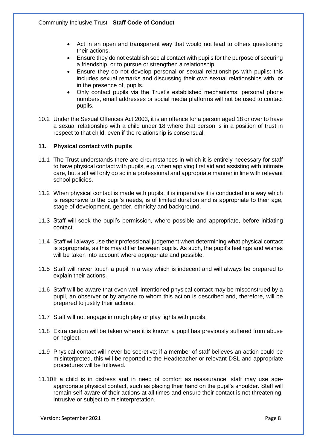- Act in an open and transparent way that would not lead to others questioning their actions.
- Ensure they do not establish social contact with pupils for the purpose of securing a friendship, or to pursue or strengthen a relationship.
- Ensure they do not develop personal or sexual relationships with pupils: this includes sexual remarks and discussing their own sexual relationships with, or in the presence of, pupils.
- Only contact pupils via the Trust's established mechanisms: personal phone numbers, email addresses or social media platforms will not be used to contact pupils.
- 10.2 Under the Sexual Offences Act 2003, it is an offence for a person aged 18 or over to have a sexual relationship with a child under 18 where that person is in a position of trust in respect to that child, even if the relationship is consensual.

## **11. Physical contact with pupils**

- 11.1 The Trust understands there are circumstances in which it is entirely necessary for staff to have physical contact with pupils, e.g. when applying first aid and assisting with intimate care, but staff will only do so in a professional and appropriate manner in line with relevant school policies.
- 11.2 When physical contact is made with pupils, it is imperative it is conducted in a way which is responsive to the pupil's needs, is of limited duration and is appropriate to their age, stage of development, gender, ethnicity and background.
- 11.3 Staff will seek the pupil's permission, where possible and appropriate, before initiating contact.
- 11.4 Staff will always use their professional judgement when determining what physical contact is appropriate, as this may differ between pupils. As such, the pupil's feelings and wishes will be taken into account where appropriate and possible.
- 11.5 Staff will never touch a pupil in a way which is indecent and will always be prepared to explain their actions.
- 11.6 Staff will be aware that even well-intentioned physical contact may be misconstrued by a pupil, an observer or by anyone to whom this action is described and, therefore, will be prepared to justify their actions.
- 11.7 Staff will not engage in rough play or play fights with pupils.
- 11.8 Extra caution will be taken where it is known a pupil has previously suffered from abuse or neglect.
- 11.9 Physical contact will never be secretive; if a member of staff believes an action could be misinterpreted, this will be reported to the Headteacher or relevant DSL and appropriate procedures will be followed.
- 11.10If a child is in distress and in need of comfort as reassurance, staff may use ageappropriate physical contact, such as placing their hand on the pupil's shoulder. Staff will remain self-aware of their actions at all times and ensure their contact is not threatening, intrusive or subject to misinterpretation.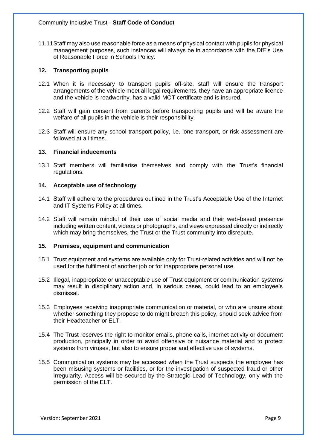11.11Staff may also use reasonable force as a means of physical contact with pupils for physical management purposes, such instances will always be in accordance with the DfE's Use of Reasonable Force in Schools Policy.

## **12. Transporting pupils**

- 12.1 When it is necessary to transport pupils off-site, staff will ensure the transport arrangements of the vehicle meet all legal requirements, they have an appropriate licence and the vehicle is roadworthy, has a valid MOT certificate and is insured.
- 12.2 Staff will gain consent from parents before transporting pupils and will be aware the welfare of all pupils in the vehicle is their responsibility.
- 12.3 Staff will ensure any school transport policy, i.e. lone transport, or risk assessment are followed at all times.

## **13. Financial inducements**

13.1 Staff members will familiarise themselves and comply with the Trust's financial regulations.

## **14. Acceptable use of technology**

- 14.1 Staff will adhere to the procedures outlined in the Trust's Acceptable Use of the Internet and IT Systems Policy at all times.
- 14.2 Staff will remain mindful of their use of social media and their web-based presence including written content, videos or photographs, and views expressed directly or indirectly which may bring themselves, the Trust or the Trust community into disrepute.

## **15. Premises, equipment and communication**

- 15.1 Trust equipment and systems are available only for Trust-related activities and will not be used for the fulfilment of another job or for inappropriate personal use.
- 15.2 Illegal, inappropriate or unacceptable use of Trust equipment or communication systems may result in disciplinary action and, in serious cases, could lead to an employee's dismissal.
- 15.3 Employees receiving inappropriate communication or material, or who are unsure about whether something they propose to do might breach this policy, should seek advice from their Headteacher or ELT.
- 15.4 The Trust reserves the right to monitor emails, phone calls, internet activity or document production, principally in order to avoid offensive or nuisance material and to protect systems from viruses, but also to ensure proper and effective use of systems.
- 15.5 Communication systems may be accessed when the Trust suspects the employee has been misusing systems or facilities, or for the investigation of suspected fraud or other irregularity. Access will be secured by the Strategic Lead of Technology, only with the permission of the ELT.